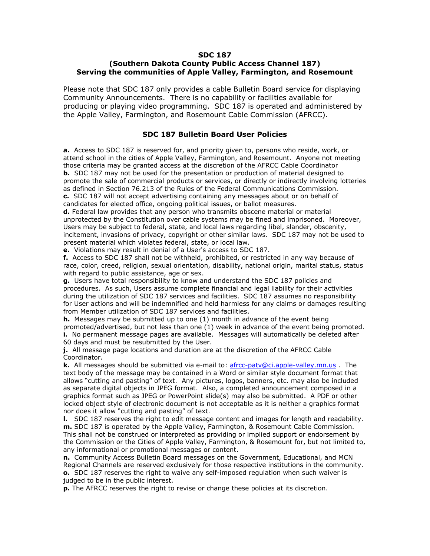## **SDC 187**

# **(Southern Dakota County Public Access Channel 187) Serving the communities of Apple Valley, Farmington, and Rosemount**

Please note that SDC 187 only provides a cable Bulletin Board service for displaying Community Announcements. There is no capability or facilities available for producing or playing video programming. SDC 187 is operated and administered by the Apple Valley, Farmington, and Rosemount Cable Commission (AFRCC).

# **SDC 187 Bulletin Board User Policies**

**a.** Access to SDC 187 is reserved for, and priority given to, persons who reside, work, or attend school in the cities of Apple Valley, Farmington, and Rosemount. Anyone not meeting those criteria may be granted access at the discretion of the AFRCC Cable Coordinator **b.** SDC 187 may not be used for the presentation or production of material designed to promote the sale of commercial products or services, or directly or indirectly involving lotteries as defined in Section 76.213 of the Rules of the Federal Communications Commission. **c.** SDC 187 will not accept advertising containing any messages about or on behalf of

candidates for elected office, ongoing political issues, or ballot measures.

**d.** Federal law provides that any person who transmits obscene material or material unprotected by the Constitution over cable systems may be fined and imprisoned. Moreover, Users may be subject to federal, state, and local laws regarding libel, slander, obscenity, incitement, invasions of privacy, copyright or other similar laws. SDC 187 may not be used to present material which violates federal, state, or local law.

**e.** Violations may result in denial of a User's access to SDC 187.

**f.** Access to SDC 187 shall not be withheld, prohibited, or restricted in any way because of race, color, creed, religion, sexual orientation, disability, national origin, marital status, status with regard to public assistance, age or sex.

**g.** Users have total responsibility to know and understand the SDC 187 policies and procedures. As such, Users assume complete financial and legal liability for their activities during the utilization of SDC 187 services and facilities. SDC 187 assumes no responsibility for User actions and will be indemnified and held harmless for any claims or damages resulting from Member utilization of SDC 187 services and facilities.

**h.** Messages may be submitted up to one (1) month in advance of the event being promoted/advertised, but not less than one (1) week in advance of the event being promoted. **i.** No permanent message pages are available. Messages will automatically be deleted after 60 days and must be resubmitted by the User.

**j.** All message page locations and duration are at the discretion of the AFRCC Cable Coordinator.

**k.** All messages should be submitted via e-mail to: [afrcc-patv@ci.apple-valley.mn.us](mailto:afrcc-patv@ci.apple-valley.mn.us) . The text body of the message may be contained in a Word or similar style document format that allows "cutting and pasting" of text. Any pictures, logos, banners, etc. may also be included as separate digital objects in JPEG format. Also, a completed announcement composed in a graphics format such as JPEG or PowerPoint slide(s) may also be submitted. A PDF or other locked object style of electronic document is not acceptable as it is neither a graphics format nor does it allow "cutting and pasting" of text.

**l.** SDC 187 reserves the right to edit message content and images for length and readability. **m.** SDC 187 is operated by the Apple Valley, Farmington, & Rosemount Cable Commission. This shall not be construed or interpreted as providing or implied support or endorsement by the Commission or the Cities of Apple Valley, Farmington, & Rosemount for, but not limited to, any informational or promotional messages or content.

**n.** Community Access Bulletin Board messages on the Government, Educational, and MCN Regional Channels are reserved exclusively for those respective institutions in the community. **o.** SDC 187 reserves the right to waive any self-imposed regulation when such waiver is judged to be in the public interest.

**p.** The AFRCC reserves the right to revise or change these policies at its discretion.